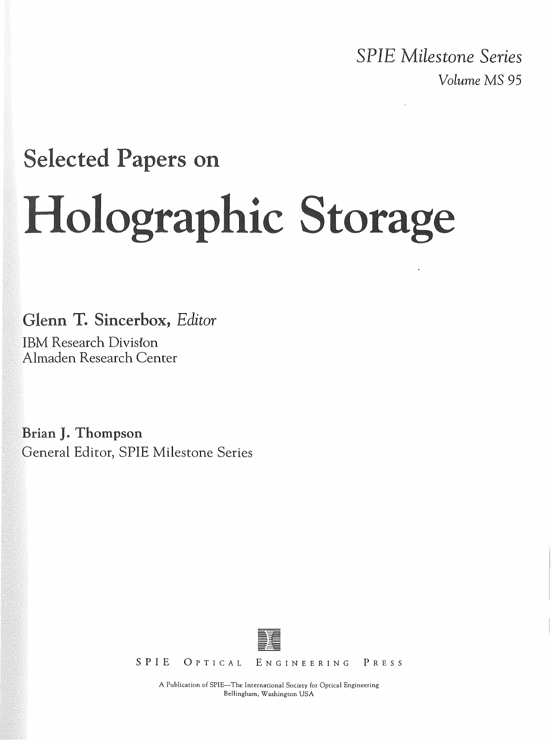*SPIE Milestone Series Volume* MS 95

# **Selected Papers on** Holographic Storage

Glenn T. Sincerbox, Editor

IBM Research Division Almaden Research Center

Brian J. Thompson General Editor, SPIE Milestone Series



SPIE OPTICAL ENGINEERING PRESS

A Publication of SPIE-The International Society for Optical Engineering Bellingham, Washington USA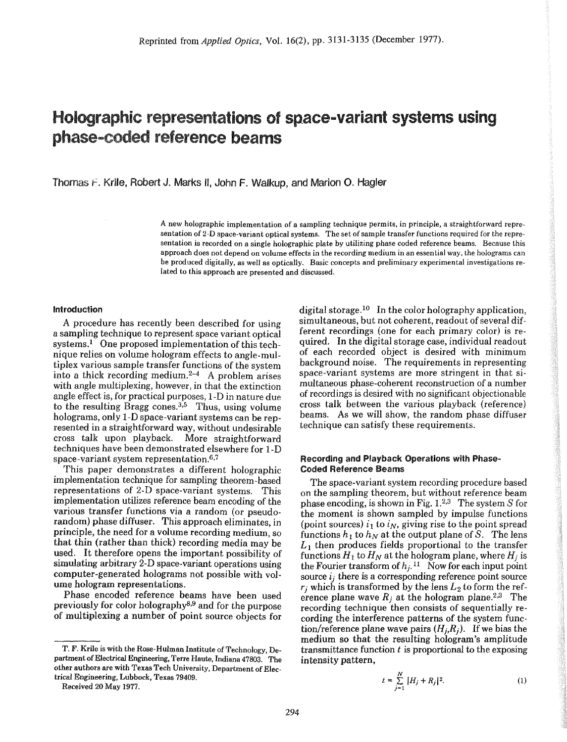## Holographic representations of space-variant systems using phase-coded reference beams

Thomas f. Krile, Robert J. Marks II, John F. Walkup, and Marion O. Hagler

A new holographic implementation of a sampling technique permits, in principle, a straightforward representation of 2-D space-variant optical systems. The set of sample transfer functions required for the representation is recorded on a single holographic plate by utilizing phase coded reference beams. Because this approach does not depend on volume effects in the recording medium in an essential way, the holograms can be produced digitally, as well as optically. Basic concepts and preliminary experimental investigations related to this approach are presented and discussed.

#### Introduction

A procedure has recently been described for using a sampling technique to represent space variant optical systems.<sup>1</sup> One proposed implementation of this technique relies on volume hologram effects to angle-multiplex various sample transfer functions of the system into a thick recording medium. $2-4$  A problem arises with angle multiplexing, however, in that the extinction angle effect is, for practical purposes, I-D in nature due to the resulting Bragg cones. $3,5$  Thus, using volume holograms, only I-D space-variant systems can be represented in a straightforward way, without undesirable<br>cross talk upon playback. More straightforward cross talk upon playback. techniques have been demonstrated elsewhere for I-D space-variant system representation.<sup>6,7</sup>

This paper demonstrates a different holographic implementation technique for sampling theorem-based representations of 2-D space-variant systems. This implementation utilizes reference beam encoding of the various transfer functions via a random (or pseudorandom) phase diffuser. This approach eliminates, in principle, the need for a volume recording medium, so that thin (rather than thick) recording media may be used. It therefore opens the important possibility of simulating arbitrary 2-D space-variant operations using computer-generated holograms not possible with volume hologram representations.

Phase encoded reference beams have been used previously for color holography8,9 and for the purpose of multiplexing a number of point source objects for

T. F. Krile is with the Rose-Hulman Institute of Technology, Department of Electrical Engineering, Terre Haute, Indiana 47803. The other authors are with Texas Tech University, Department of Electrical Engineering, Lubbock, Texas 79409.

Received 20 May 1977.

digital storage.<sup>10</sup> In the color holography application, simultaneous, but not coherent, readout of several different recordings (one for each primary color) is required. In the digital storage case, individual readout of each recorded object is desired with minimum background noise. The requirements in representing space-variant systems are more stringent in that simultaneous phase-coherent reconstruction of a number of recordings is desired with no significant objectionable cross talk between the various playback (reference) beams. As we will show, the random phase diffuser technique can satisfy these requirements.

#### Recording and Playback Operations with Phase-Coded Reference Beams

The space-variant system recording procedure based on the sampling theorem, but without reference beam phase encoding, is shown in Fig. 1.2,3 The system *S* for the moment is shown sampled by impulse functions (point sources)  $i_1$  to  $i_N$ , giving rise to the point spread functions  $h_1$  to  $h_N$  at the output plane of *S*. The lens  $L_1$  then produces fields proportional to the transfer functions  $H_1$  to  $H_N$  at the hologram plane, where  $H_j$  is the Fourier transform of  $h_i$ .<sup>11</sup> Now for each input point source  $i_j$  there is a corresponding reference point source  $r_i$  which is transformed by the lens  $L_2$  to form the reference plane wave  $R_i$  at the hologram plane.<sup>2,3</sup> The recording technique then consists of sequentially recording the interference patterns of the system function/reference plane wave pairs  $(H_i, R_j)$ . If we bias the medium so that the resulting hologram's amplitude transmittance function *t* is proportional to the exposing intensity pattern,

$$
t = \sum_{j=1}^{N} |H_j + R_j|^2.
$$
 (1)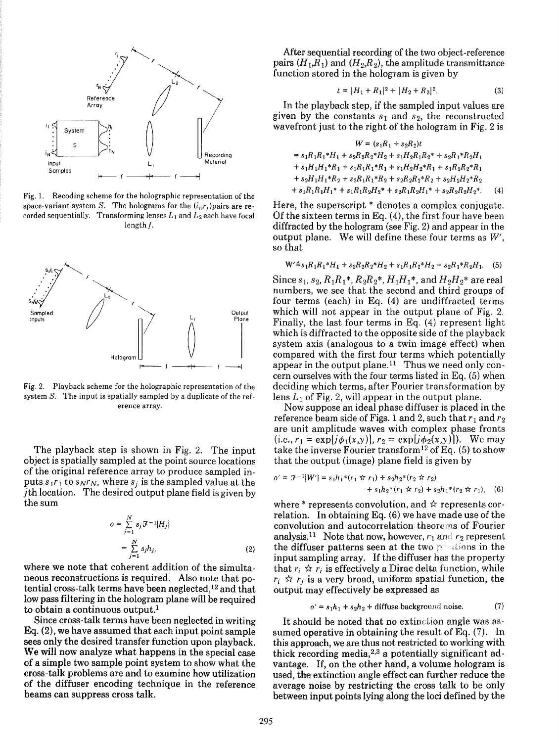

Fig. 1. Recoding scheme for the holographic representation of the space-variant system *S*. The holograms for the  $(i_i, r_i)$  pairs are recorded sequentially. Transforming lenses  $L_1$  and  $L_2$  each have focal length f.



Fig. 2. Playback scheme for the holographic representation of the system *S.* The input is spatially sampled by a duplicate of the reference array.

The playback step is shown in Fig. 2. The input object is spatially sampled at the point source locations of the original reference array to produce sampled inputs  $s_1r_1$  to  $s_Nr_N$ , where  $s_j$  is the sampled value at the jth location. The desired output plane field is given by the sum

$$
o = \sum_{j=1}^{N} s_j \mathcal{F}^{-1} \{H_j\}
$$
  
= 
$$
\sum_{j=1}^{N} s_j h_j,
$$
 (2)

where we note that coherent addition of the simultaneous reconstructions is required. Also note that potential cross-talk terms have been neglected,<sup>12</sup> and that low pass filtering in the hologram plane will be required to obtain a continuous output.<sup>1</sup>

Since cross-talk terms have been neglected in writing  $Eq. (2)$ , we have assumed that each input point sample sees only the desired transfer function upon playback. We will now analyze what happens in the special case of a simple two sample point system to show what the cross-talk problems are and to examine how utilization of the diffuser encoding technique in the reference beams can suppress cross talk.

After sequential recording of the two object-reference pairs  $(H_1, R_1)$  and  $(H_2, R_2)$ , the amplitude transmittance function stored in the hologram is given by

$$
t = |H_1 + R_1|^2 + |H_2 + R_2|^2. \tag{3}
$$

In the playback step, if the sampled input values are given by the constants  $s_1$  and  $s_2$ , the reconstructed wavefront just to the right of the hologram in Fig. 2 is

$$
W = (s_1R_1 + s_2R_2)t
$$
  
=  $s_1R_1R_1 * H_1 + s_2R_2R_2 * H_2 + s_1H_2R_1R_2 * + s_2R_1 * R_2H_1$   
+  $s_1H_1H_1 * R_1 + s_1R_1R_1 * R_1 + s_1H_2H_2 * R_1 + s_1R_2R_2 * R_1$   
+  $s_2H_1H_1 * R_2 + s_2R_1R_1 * R_2 + s_2R_2R_2 * R_2 + s_2H_2H_2 * R_2$   
+  $s_1R_1R_1H_1 * + s_1R_1R_2H_2 * + s_2R_1R_2H_1 * + s_2R_2R_2H_2 *.$  (4)

Here, the superscript \* denotes a complex conjugate. Of the sixteen terms in Eq. (4), the first four have been diffracted by the hologram (see Fig. 2) and appear in the output plane. We will define these four terms as *W',* so that

$$
W' \triangleq s_1 R_1 R_1^* H_1 + s_2 R_2 R_2^* H_2 + s_1 R_1 R_2^* H_2 + s_2 R_1^* R_2 H_1. \tag{5}
$$

Since  $s_1, s_2, R_1R_1^*, R_2R_2^*, H_1H_1^*,$  and  $H_2H_2^*$  are real numbers, we see that the second and third groups of four terms (each) in Eq. (4) are undiffracted terms which will not appear in the output plane of Fig. 2. Finally, the last four terms in Eq. (4) represent light which is diffracted to the opposite side of the playback system axis (analogous to a twin image effect) when compared with the first four terms which potentially appear in the output plane.<sup>11</sup> Thus we need only concern ourselves with the four terms listed in Eq. (5) when deciding which terms, after Fourier transformation by lens  $L_1$  of Fig. 2, will appear in the output plane.

Now suppose an ideal phase diffuser is placed in the reference beam side of Figs. 1 and 2, such that  $r_1$  and  $r_2$ are unit amplitude waves with complex phase fronts  $(i.e., r_1 = \exp[j\phi_1(x,y)], r_2 = \exp[j\phi_2(x,y)]$ ). We may take the inverse Fourier transform<sup>12</sup> of Eq. (5) to show that the output (image) plane field is given by

$$
o' = \mathcal{F}^{-1}{W'} = s_1h_1*(r_1 \nleftrightarrow r_1) + s_2h_2*(r_2 \nleftrightarrow r_2) + s_1h_2*(r_1 \nleftrightarrow r_2) + s_2h_1*(r_2 \nleftrightarrow r_1),
$$
 (6)

where  $*$  represents convolution, and  $*$  represents correlation. In obtaining Eq. (6) we have made use of the convolution and autocorrelation theorerns of Fourier analysis.<sup>11</sup> Note that now, however,  $r_1$  and  $r_2$  represent the diffuser patterns seen at the two positions in the input sampling array. If the diffuser has the property that  $r_i \nightharpoonup r_i$  is effectively a Dirac delta function, while  $r_i \nightharpoonup r_j$  is a very broad, uniform spatial function, the output may effectively be expressed as

$$
o' = s_1 h_1 + s_2 h_2 + \text{diffuse background noise.} \tag{7}
$$

It should be noted that no extinction angle was assumed operative in obtaining the result of Eq. (7). In this approach, we are thus not restricted to working with thick recording media,<sup>2,3</sup> a potentially significant advantage. If, on the other hand, a volume hologram is used, the extinction angle effect can further reduce the average noise by restricting the cross talk to be only between input points lying along the loci defined by the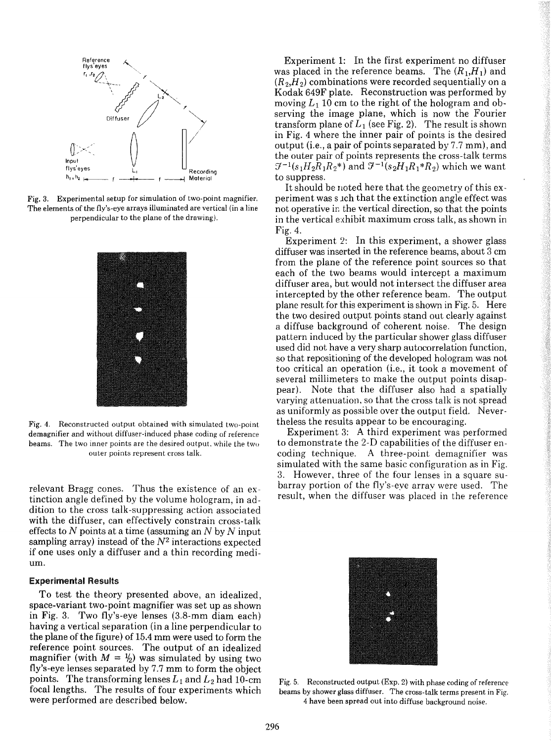

Fig. 3. Experimental setup for simulation of two-point magnifier. The elements of the fly's-eye arrays illuminated are vertical (in a line perpendicular to the plane of the drawing).



Fig. 4. Reconstructed output obtained with simulated two-point demagnifier and without diffuser-induced phase coding of reference beams. The two inner points are the desired output. while the two outer points represent cross talk.

relevant Bragg cones. Thus the existence of an extinction angle defined by the volume hologram, in addition to the cross talk-suppressing action associated with the diffuser, can effectively constrain cross-talk effects to  $N$  points at a time (assuming an  $N$  by  $N$  input sampling array) instead of the *N2* interactions expected if one uses only a diffuser and a thin recording medium.

#### Experimental Results

To test the theory presented above, an idealized, space-variant two-point magnifier was set up as shown in Fig. 3. Two fly's-eye lenses (3.S-mm diam each) having a vertical separation (in a line perpendicular to the plane of the figure) of 15.4 mm were used to form the reference point sources. The output of an idealized magnifier (with  $M = \frac{1}{2}$ ) was simulated by using two fly's-eye lenses separated by 7.7 mm to form the object points. The transforming lenses  $L_1$  and  $L_2$  had 10-cm focal lengths. The results of four experiments which were performed are described below.

Experiment 1: In the first experiment no diffuser was placed in the reference beams. The  $(R_1,H_1)$  and  $(R_2, H_2)$  combinations were recorded sequentially on a Kodak 649F plate. Reconstruction was performed by moving  $L_1$  10 cm to the right of the hologram and observing the image plane, which is now the Fourier transform plane of  $L_1$  (see Fig. 2). The result is shown in Fig. 4 where the inner pair of points is the desired output (i.e., a pair of points separated by 7.7 mm), and the outer pair of points represents the cross-talk terms  $f^{-1}(s_1H_2R_1R_2^*)$  and  $f^{-1}(s_2H_1R_1^*R_2)$  which we want to suppress.

It should be noted here that the geometry of this experiment was such that the extinction angle effect was not operative in the vertical direction, so that the points in the vertical exhibit maximum cross talk, as shown in Fig. 4.

Experiment 2: In this experiment, a shower glass diffuser was inserted in the reference beams, about 3 cm from the plane of the reference point sources so that each of the two beams would intercept a maximum diffuser area, but would not intersect the diffuser area intercepted by the other reference beam. The output plane result for this experiment is shown in Fig. 5. Here the two desired output points stand out clearly against a diffuse background of coherent noise. The design pattern induced by the particular shower glass diffuser used did not have a very sharp autocorrelation function, so that repositioning of the developed hologram was not too critical an operation (i.e., it took a movement of several millimeters to make the output points disappear). Note that the diffuser also had a spatially varying attenuation, so that the cross talk is not spread as uniformly as possible over the output field. Nevertheless the results appear to be encouraging.

Experiment 3: A third experiment was performed to demonstrate the 2-D capabilities of the diffuser encoding technique. A three-point demagnifier was simulated with the same basic configuration as in Fig. 3. However, three of the four lenses in a square subarray portion of the fly's-eye array were used. The result, when the diffuser was placed in the reference



Fig. 5. Reconstructed output (Exp. 2) with phase coding of reference beams by shower glass diffuser. The cross-talk terms present in Fig. 4 have been spread out into diffuse background noise.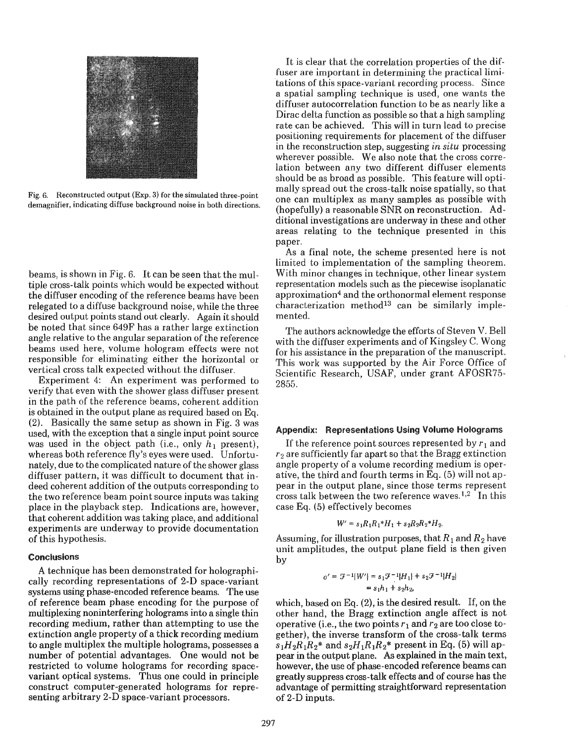

Fig. 6. Reconstructed output (Exp. 3) for the simulated three-point demagnifier, indicating diffuse background noise in both directions.

beams, is shown in Fig. 6. It can be seen that the multiple cross-talk points which would be expected without the diffuser encoding of the reference beams have been relegated to a diffuse background noise, while the three desired output points stand out clearly. Again it should be noted that since 649F has a rather large extinction angle relative to the angular separation of the reference beams used here, volume hologram effects were not responsible for eliminating either the horizontal or vertical cross talk expected without the diffuser.

Experiment 4: An experiment was performed to verify that even with the shower glass diffuser present in the path of the reference beams, coherent addition is obtained in the output plane as required based on Eq. (2). Basically the same setup as shown in Fig. 3 was used, with the exception that a single input point source was used in the object path (i.e., only  $h_1$  present), whereas both reference fly's eyes were used. Unfortunately, due to the complicated nature of the shower glass diffuser pattern, it was difficult to document that indeed coherent addition of the outputs corresponding to the two reference beam point source inputs was taking place in the playback step. Indications are, however, that coherent addition was taking place, and additional experiments are underway to provide documentation of this hypothesis.

### Conclusions

A technique has been demonstrated for holographically recording representations of 2-D space-variant systems using phase-encoded reference beams. The use of reference beam phase encoding for the purpose of multiplexing noninterfering holograms into a single thin recording medium, rather than attempting to use the extinction angle property of a thick recording medium to angle multiplex the multiple holograms, possesses a number of potential advantages. One would not be restricted to volume holograms for recording spacevariant optical systems. Thus one could in principle construct computer-generated holograms for representing arbitrary 2-D space-variant processors.

It is clear that the correlation properties of the diffuser are important in determining the practical limitations of this space-variant recording process. Since a spatial sampling technique is used, one wants the diffuser autocorrelation function to be as nearly like a Dirac delta function as possible so that a high sampling rate can be achieved. This will in turn lead to precise positioning requirements for placement of the diffuser in the reconstruction step, suggesting *in situ* processing wherever possible. We also note that the cross correlation between any two different diffuser elements should be as broad as possible. This feature will optimally spread out the cross-talk noise spatially, so that one can multiplex as many samples as possible with (hopefully) a reasonable SNR on reconstruction. Additional investigations are underway in these and other areas relating to the technique presented in this paper.

As a final note, the scheme presented here is not limited to implementation of the sampling theorem. With minor changes in technique, other linear system representation models such as the piecewise isoplanatic approximation4 and the orthonormal element response  $characterization$  method<sup>13</sup> can be similarly implemented.

The authors acknowledge the efforts of Steven V. Bell with the diffuser experiments and of Kingsley C. Wong for his assistance in the preparation of the manuscript. This work was supported by the Air Force Office of Scientific Research, USAF, under grant AFOSR75- 2855.

#### Appendix: Representations Using Volume Holograms

If the reference point sources represented by  $r_1$  and *r2* are sufficiently far apart so that the Bragg extinction angle property of a volume recording medium is operative, the third and fourth terms in Eq. (5) will not appear in the output plane, since those terms represent cross talk between the two reference waves.<sup>1,2</sup> In this case Eq. (5) effectively becomes

$$
W' = s_1 R_1 R_1 * H_1 + s_2 R_2 R_2 * H_2.
$$

Assuming, for illustration purposes, that  $R_1$  and  $R_2$  have unit amplitudes, the output plane field is then given by

$$
o' = \mathcal{F}^{-1}{W'} = s_1 \mathcal{F}^{-1}{H_1} + s_2 \mathcal{F}^{-1}{H_2}
$$
  
=  $s_1 h_1 + s_2 h_2$ ,

which, based on Eq. (2), is the desired result. If, on the other hand, the Bragg extinction angle affect is not operative (i.e., the two points  $r_1$  and  $r_2$  are too close together), the inverse transform of the cross-talk terms  $s_1H_2R_1R_2^*$  and  $s_2H_1R_1R_2^*$  present in Eq. (5) will appear in the output plane. As explained in the main text, however, the use of phase-encoded reference beams can greatly suppress cross-talk effects and of course has the advantage of permitting straightforward representation of 2-D inputs.